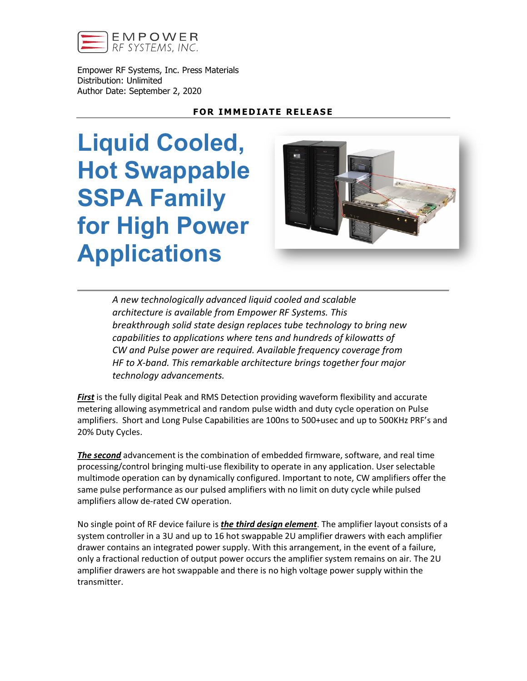

Empower RF Systems, Inc. Press Materials Distribution: Unlimited Author Date: September 2, 2020

## **FOR IMMEDIATE RELEASE**

**Liquid Cooled, Hot Swappable SSPA Family for High Power Applications**



*A new technologically advanced liquid cooled and scalable architecture is available from Empower RF Systems. This breakthrough solid state design replaces tube technology to bring new capabilities to applications where tens and hundreds of kilowatts of CW and Pulse power are required. Available frequency coverage from HF to X-band. This remarkable architecture brings together four major technology advancements.*

*First* is the fully digital Peak and RMS Detection providing waveform flexibility and accurate metering allowing asymmetrical and random pulse width and duty cycle operation on Pulse amplifiers. Short and Long Pulse Capabilities are 100ns to 500+usec and up to 500KHz PRF's and 20% Duty Cycles.

*The second* advancement is the combination of embedded firmware, software, and real time processing/control bringing multi-use flexibility to operate in any application. User selectable multimode operation can by dynamically configured. Important to note, CW amplifiers offer the same pulse performance as our pulsed amplifiers with no limit on duty cycle while pulsed amplifiers allow de-rated CW operation.

No single point of RF device failure is *the third design element*. The amplifier layout consists of a system controller in a 3U and up to 16 hot swappable 2U amplifier drawers with each amplifier drawer contains an integrated power supply. With this arrangement, in the event of a failure, only a fractional reduction of output power occurs the amplifier system remains on air. The 2U amplifier drawers are hot swappable and there is no high voltage power supply within the transmitter.